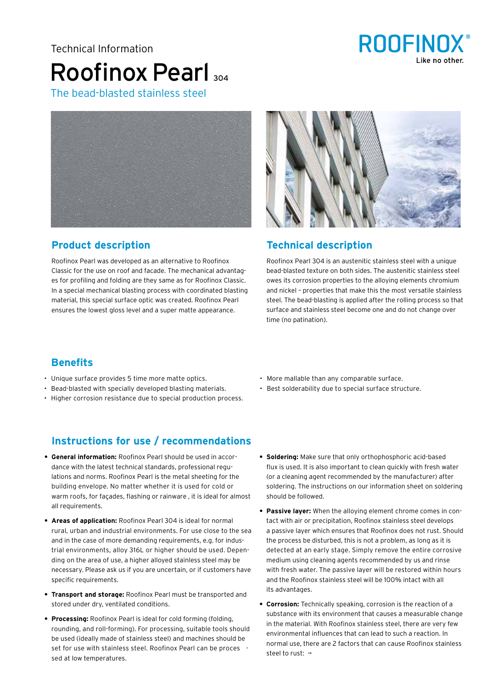#### Technical Information

# Roofinox Pearl 304 The bead-blasted stainless steel



### **Product description**

Roofinox Pearl was developed as an alternative to Roofinox Rooffinox Pearl was developed as an alternative to reofficiol.<br>Classic for the use on roof and facade. The mechanical advantages for profiling and folding are they same as for Roofinox Classic. es for profiling and folding are they same as for received classic.<br>In a special mechanical blasting process with coordinated blasting material, this special surface optic was created. Roofinox Pearl material, this special surface optic was created. Roofinox Pearl material, this special sarrace spile was created. Noomisk Pearl<br>ensures the lowest gloss level and a super matte appearance. should the following globb forefahre a baper matte appearance. perl



### **Product** description **Technical** description

Roofinox Pearl 304 is an austenitic stainless steel with a unique modified texture on both sides. The austenitic stainless steel bead-blasted texture on both sides. The austenitic stainless steel owes its corrosion properties to the alloying elements chromium and nickel – properties that make this the most versatile stainless and nickel – properties that make this the most versatile stainless and menter properties that make this the most versathe stamless steel. The bead-blasting is applied after the rolling process so that succh me sead stasting is applied after the rolling process so this surface and stainless steel become one and do not change over surface and stanness steen secome one and do not enange<br>time (no patination). und (no pathlation).

### **Benefits**

- Unique surface provides 5 time more matte optics.
- Bead-blasted with specially developed blasting materials.
- Higher corrosion resistance due to special production process.

## **Instructions for use / recommendations**

- **General information:** Roofinox Pearl should be used in accordance with the latest technical standards, professional regulations and norms. Roofinox Pearl is the metal sheeting for the building envelope. No matter whether it is used for cold or **• Warm roofs, for façades, flashing or rainware , it is ideal for almost**<br>——————————————————— all requirements. chen, städtischen und industriellen Bereich ist die einstehen bereich ist die einstehen bereich ist die einste<br>Einstehen bereich ist die einstehen bereich ist die einstehen bereich ist die einstehen bereich ist die eine e
- **Areas of application:** Roofinox Pearl 304 is ideal for normal rural, urban and industrial environments. For use close to the sea and in the case of more demanding requirements, e.g. for industrial environments, alloy 316L or higher should be used. Depending on the area of use, a higher alloyed stainless steel may be **hecessary. Please ask us if you are uncertain, or if customers have** specific requirements. speeme regunements.
- **• Transport and storage:** Roofinox Pearl must be transported and **• Campel vand bestage:** Roofmon Pearl mast se transported and<br>stored under dry, ventilated conditions.  $m_{\rm H}$  rendenden, profilieren veraldien).
- **Processing:** Roofinox Pearl is ideal for cold forming (folding, rounding, and roll-forming). For processing, suitable tools should be used (ideally made of stainless steel) and machines should be set for use with stainless steel. Roofinox Pearl can be proces sed at low temperatures.
- More mallable than any comparable surface.
- Best solderability due to special surface structure.
- **Soldering:** Make sure that only orthophosphoric acid-based flux is used. It is also important to clean quickly with fresh water (or a cleaning agent recommended by the manufacturer) after soldering. The instructions on our information sheet on soldering should be followed. **• Passivschicht:** Roofinox Edelstahl erhält dank dem Legierungs-
- **Passive layer:** When the alloying element chrome comes in contact with air or precipitation, Roofinox stainless steel develops a passive layer which ensures that Roofinox does not rust. Should the process be disturbed, this is not a problem, as long as it is detected at an early stage. Simply remove the entire corrosive medium using cleaning agents recommended by us and rinse with fresh water. The passive layer will be restored within hours and the Roofinox stainless steel will be 100% intact with all its advantages. The vorteile wieder wieder wieder wieder. In the vorteile wieder wieder wieder. In the vorteil
- **Corrosion:** Technically speaking, corrosion is the reaction of a substance with its environment that causes a measurable change in the material. With Roofinox stainless steel, there are very few environmental influences that can lead to such a reaction. In normal use, there are 2 factors that can cause Roofinox stainless steel to rust:  $\rightarrow$